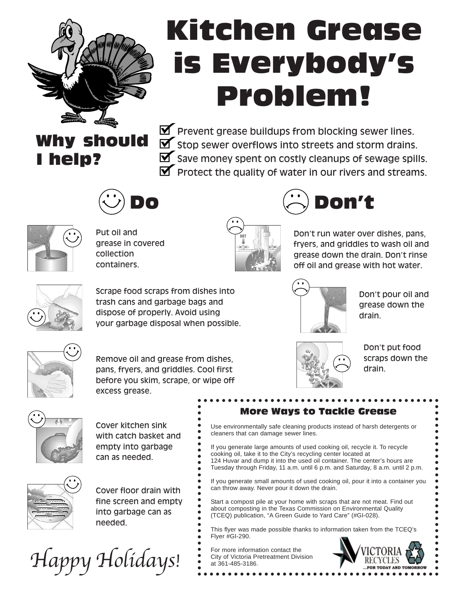

# Kitchen Grease is Everybody's Problem!

# Why should I help?

 $\blacktriangleright$  Prevent grease buildups from blocking sewer lines.  $\blacktriangleright$  stop sewer overflows into streets and storm drains.  $\blacktriangleright$  Save money spent on costly cleanups of sewage spills.  $\blacktriangleright$  Protect the quality of water in our rivers and streams.



Put oil and grease in covered collection containers.



Do Don't

Don't run water over dishes, pans, fryers, and griddles to wash oil and grease down the drain. Don't rinse

off oil and grease with hot water.



Scrape food scraps from dishes into trash cans and garbage bags and dispose of properly. Avoid using your garbage disposal when possible.



Don't pour oil and grease down the drain.



Remove oil and grease from dishes, pans, fryers, and griddles. Cool first before you skim, scrape, or wipe off excess grease.



Don't put food scraps down the drain.



Cover kitchen sink with catch basket and empty into garbage can as needed.

Cover floor drain with fine screen and empty into garbage can as needed.

Happy Holidays!

#### More Ways to Tackle Grease Use environmentally safe cleaning products instead of harsh detergents or

cleaners that can damage sewer lines. If you generate large amounts of used cooking oil, recycle it. To recycle

cooking oil, take it to the City's recycling center located at 124 Huvar and dump it into the used oil container. The center's hours are Tuesday through Friday, 11 a.m. until 6 p.m. and Saturday, 8 a.m. until 2 p.m.

If you generate small amounts of used cooking oil, pour it into a container you can throw away. Never pour it down the drain.

Start a compost pile at your home with scraps that are not meat. Find out about composting in the Texas Commission on Environmental Quality (TCEQ) publication, "A Green Guide to Yard Care" (#GI-028).

This flyer was made possible thanks to information taken from the TCEQ's Flyer #GI-290.

For more information contact the City of Victoria Pretreatment Division at 361-485-3186.